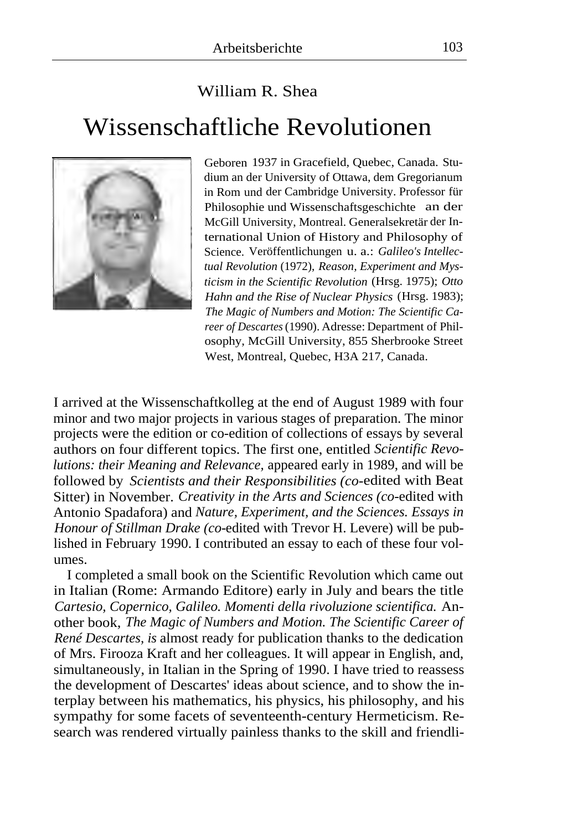## William R. Shea Wissenschaftliche Revolutionen



Geboren 1937 in Gracefield, Quebec, Canada. Studium an der University of Ottawa, dem Gregorianum in Rom und der Cambridge University. Professor für Philosophie und Wissenschaftsgeschichte an der McGill University, Montreal. Generalsekretär der International Union of History and Philosophy of Science. Veröffentlichungen u. a.: *Galileo's Intellectual Revolution* (1972), *Reason, Experiment and Mysticism in the Scientific Revolution* (Hrsg. 1975); *Otto Hahn and the Rise of Nuclear Physics* (Hrsg. 1983); *The Magic of Numbers and Motion: The Scientific Career of Descartes* (1990). Adresse: Department of Philosophy, McGill University, 855 Sherbrooke Street West, Montreal, Quebec, H3A 217, Canada.

I arrived at the Wissenschaftkolleg at the end of August 1989 with four minor and two major projects in various stages of preparation. The minor projects were the edition or co-edition of collections of essays by several authors on four different topics. The first one, entitled *Scientific Revolutions: their Meaning and Relevance,* appeared early in 1989, and will be followed by *Scientists and their Responsibilities (co-*edited with Beat Sitter) in November. *Creativity in the Arts and Sciences (co-*edited with Antonio Spadafora) and *Nature, Experiment, and the Sciences. Essays in Honour of Stillman Drake (co-*edited with Trevor H. Levere) will be published in February 1990. I contributed an essay to each of these four volumes.

I completed a small book on the Scientific Revolution which came out in Italian (Rome: Armando Editore) early in July and bears the title *Cartesio, Copernico, Galileo. Momenti della rivoluzione scientifica.* Another book, *The Magic of Numbers and Motion. The Scientific Career of René Descartes, is* almost ready for publication thanks to the dedication of Mrs. Firooza Kraft and her colleagues. It will appear in English, and, simultaneously, in Italian in the Spring of 1990. I have tried to reassess the development of Descartes' ideas about science, and to show the interplay between his mathematics, his physics, his philosophy, and his sympathy for some facets of seventeenth-century Hermeticism. Research was rendered virtually painless thanks to the skill and friendli